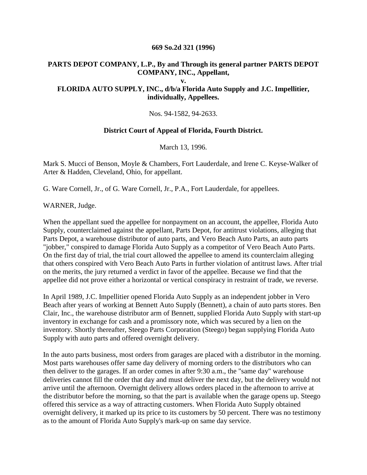## **669 So.2d 321 (1996)**

## **PARTS DEPOT COMPANY, L.P., By and Through its general partner PARTS DEPOT COMPANY, INC., Appellant,**

**v.**

## **FLORIDA AUTO SUPPLY, INC., d/b/a Florida Auto Supply and J.C. Impellitier, individually, Appellees.**

Nos. 94-1582, 94-2633.

## **District Court of Appeal of Florida, Fourth District.**

March 13, 1996.

Mark S. Mucci of Benson, Moyle & Chambers, Fort Lauderdale, and Irene C. Keyse-Walker of Arter & Hadden, Cleveland, Ohio, for appellant.

G. Ware Cornell, Jr., of G. Ware Cornell, Jr., P.A., Fort Lauderdale, for appellees.

WARNER, Judge.

When the appellant sued the appellee for nonpayment on an account, the appellee, Florida Auto Supply, counterclaimed against the appellant, Parts Depot, for antitrust violations, alleging that Parts Depot, a warehouse distributor of auto parts, and Vero Beach Auto Parts, an auto parts "jobber," conspired to damage Florida Auto Supply as a competitor of Vero Beach Auto Parts. On the first day of trial, the trial court allowed the appellee to amend its counterclaim alleging that others conspired with Vero Beach Auto Parts in further violation of antitrust laws. After trial on the merits, the jury returned a verdict in favor of the appellee. Because we find that the appellee did not prove either a horizontal or vertical conspiracy in restraint of trade, we reverse.

In April 1989, J.C. Impellitier opened Florida Auto Supply as an independent jobber in Vero Beach after years of working at Bennett Auto Supply (Bennett), a chain of auto parts stores. Ben Clair, Inc., the warehouse distributor arm of Bennett, supplied Florida Auto Supply with start-up inventory in exchange for cash and a promissory note, which was secured by a lien on the inventory. Shortly thereafter, Steego Parts Corporation (Steego) began supplying Florida Auto Supply with auto parts and offered overnight delivery.

In the auto parts business, most orders from garages are placed with a distributor in the morning. Most parts warehouses offer same day delivery of morning orders to the distributors who can then deliver to the garages. If an order comes in after 9:30 a.m., the "same day" warehouse deliveries cannot fill the order that day and must deliver the next day, but the delivery would not arrive until the afternoon. Overnight delivery allows orders placed in the afternoon to arrive at the distributor before the morning, so that the part is available when the garage opens up. Steego offered this service as a way of attracting customers. When Florida Auto Supply obtained overnight delivery, it marked up its price to its customers by 50 percent. There was no testimony as to the amount of Florida Auto Supply's mark-up on same day service.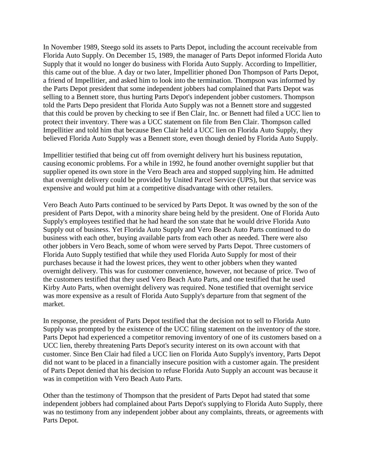In November 1989, Steego sold its assets to Parts Depot, including the account receivable from Florida Auto Supply. On December 15, 1989, the manager of Parts Depot informed Florida Auto Supply that it would no longer do business with Florida Auto Supply. According to Impellitier, this came out of the blue. A day or two later, Impellitier phoned Don Thompson of Parts Depot, a friend of Impellitier, and asked him to look into the termination. Thompson was informed by the Parts Depot president that some independent jobbers had complained that Parts Depot was selling to a Bennett store, thus hurting Parts Depot's independent jobber customers. Thompson told the Parts Depo president that Florida Auto Supply was not a Bennett store and suggested that this could be proven by checking to see if Ben Clair, Inc. or Bennett had filed a UCC lien to protect their inventory. There was a UCC statement on file from Ben Clair. Thompson called Impellitier and told him that because Ben Clair held a UCC lien on Florida Auto Supply, they believed Florida Auto Supply was a Bennett store, even though denied by Florida Auto Supply.

Impellitier testified that being cut off from overnight delivery hurt his business reputation, causing economic problems. For a while in 1992, he found another overnight supplier but that supplier opened its own store in the Vero Beach area and stopped supplying him. He admitted that overnight delivery could be provided by United Parcel Service (UPS), but that service was expensive and would put him at a competitive disadvantage with other retailers.

Vero Beach Auto Parts continued to be serviced by Parts Depot. It was owned by the son of the president of Parts Depot, with a minority share being held by the president. One of Florida Auto Supply's employees testified that he had heard the son state that he would drive Florida Auto Supply out of business. Yet Florida Auto Supply and Vero Beach Auto Parts continued to do business with each other, buying available parts from each other as needed. There were also other jobbers in Vero Beach, some of whom were served by Parts Depot. Three customers of Florida Auto Supply testified that while they used Florida Auto Supply for most of their purchases because it had the lowest prices, they went to other jobbers when they wanted overnight delivery. This was for customer convenience, however, not because of price. Two of the customers testified that they used Vero Beach Auto Parts, and one testified that he used Kirby Auto Parts, when overnight delivery was required. None testified that overnight service was more expensive as a result of Florida Auto Supply's departure from that segment of the market.

In response, the president of Parts Depot testified that the decision not to sell to Florida Auto Supply was prompted by the existence of the UCC filing statement on the inventory of the store. Parts Depot had experienced a competitor removing inventory of one of its customers based on a UCC lien, thereby threatening Parts Depot's security interest on its own account with that customer. Since Ben Clair had filed a UCC lien on Florida Auto Supply's inventory, Parts Depot did not want to be placed in a financially insecure position with a customer again. The president of Parts Depot denied that his decision to refuse Florida Auto Supply an account was because it was in competition with Vero Beach Auto Parts.

Other than the testimony of Thompson that the president of Parts Depot had stated that some independent jobbers had complained about Parts Depot's supplying to Florida Auto Supply, there was no testimony from any independent jobber about any complaints, threats, or agreements with Parts Depot.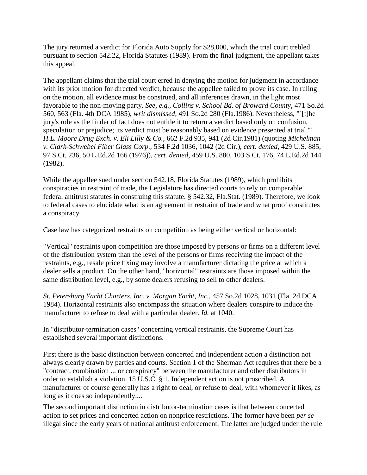The jury returned a verdict for Florida Auto Supply for \$28,000, which the trial court trebled pursuant to section 542.22, Florida Statutes (1989). From the final judgment, the appellant takes this appeal.

The appellant claims that the trial court erred in denying the motion for judgment in accordance with its prior motion for directed verdict, because the appellee failed to prove its case. In ruling on the motion, all evidence must be construed, and all inferences drawn, in the light most favorable to the non-moving party. *See, e.g., Collins v. School Bd. of Broward County,* 471 So.2d 560, 563 (Fla. 4th DCA 1985), *writ dismissed,* 491 So.2d 280 (Fla.1986). Nevertheless, "`[t]he jury's role as the finder of fact does not entitle it to return a verdict based only on confusion, speculation or prejudice; its verdict must be reasonably based on evidence presented at trial.'" *H.L. Moore Drug Exch. v. Eli Lilly & Co.,* 662 F.2d 935, 941 (2d Cir.1981) (quoting *Michelman v. Clark-Schwebel Fiber Glass Corp.,* 534 F.2d 1036, 1042 (2d Cir.), *cert. denied,* 429 U.S. 885, 97 S.Ct. 236, 50 L.Ed.2d 166 (1976)), *cert. denied,* 459 U.S. 880, 103 S.Ct. 176, 74 L.Ed.2d 144 (1982).

While the appellee sued under section 542.18, Florida Statutes (1989), which prohibits conspiracies in restraint of trade, the Legislature has directed courts to rely on comparable federal antitrust statutes in construing this statute. § 542.32, Fla.Stat. (1989). Therefore, we look to federal cases to elucidate what is an agreement in restraint of trade and what proof constitutes a conspiracy.

Case law has categorized restraints on competition as being either vertical or horizontal:

"Vertical" restraints upon competition are those imposed by persons or firms on a different level of the distribution system than the level of the persons or firms receiving the impact of the restraints, e.g., resale price fixing may involve a manufacturer dictating the price at which a dealer sells a product. On the other hand, "horizontal" restraints are those imposed within the same distribution level, e.g., by some dealers refusing to sell to other dealers.

*St. Petersburg Yacht Charters, Inc. v. Morgan Yacht, Inc.,* 457 So.2d 1028, 1031 (Fla. 2d DCA 1984). Horizontal restraints also encompass the situation where dealers conspire to induce the manufacturer to refuse to deal with a particular dealer. *Id.* at 1040.

In "distributor-termination cases" concerning vertical restraints, the Supreme Court has established several important distinctions.

First there is the basic distinction between concerted and independent action a distinction not always clearly drawn by parties and courts. Section 1 of the Sherman Act requires that there be a "contract, combination ... or conspiracy" between the manufacturer and other distributors in order to establish a violation. 15 U.S.C. § 1. Independent action is not proscribed. A manufacturer of course generally has a right to deal, or refuse to deal, with whomever it likes, as long as it does so independently....

The second important distinction in distributor-termination cases is that between concerted action to set prices and concerted action on nonprice restrictions. The former have been *per se* illegal since the early years of national antitrust enforcement. The latter are judged under the rule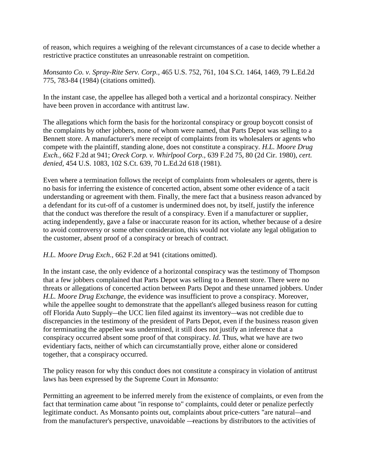of reason, which requires a weighing of the relevant circumstances of a case to decide whether a restrictive practice constitutes an unreasonable restraint on competition.

*Monsanto Co. v. Spray-Rite Serv. Corp.,* 465 U.S. 752, 761, 104 S.Ct. 1464, 1469, 79 L.Ed.2d 775, 783-84 (1984) (citations omitted).

In the instant case, the appellee has alleged both a vertical and a horizontal conspiracy. Neither have been proven in accordance with antitrust law.

The allegations which form the basis for the horizontal conspiracy or group boycott consist of the complaints by other jobbers, none of whom were named, that Parts Depot was selling to a Bennett store. A manufacturer's mere receipt of complaints from its wholesalers or agents who compete with the plaintiff, standing alone, does not constitute a conspiracy. *H.L. Moore Drug Exch.,* 662 F.2d at 941; *Oreck Corp. v. Whirlpool Corp.,* 639 F.2d 75, 80 (2d Cir. 1980), *cert. denied,* 454 U.S. 1083, 102 S.Ct. 639, 70 L.Ed.2d 618 (1981).

Even where a termination follows the receipt of complaints from wholesalers or agents, there is no basis for inferring the existence of concerted action, absent some other evidence of a tacit understanding or agreement with them. Finally, the mere fact that a business reason advanced by a defendant for its cut-off of a customer is undermined does not, by itself, justify the inference that the conduct was therefore the result of a conspiracy. Even if a manufacturer or supplier, acting independently, gave a false or inaccurate reason for its action, whether because of a desire to avoid controversy or some other consideration, this would not violate any legal obligation to the customer, absent proof of a conspiracy or breach of contract.

*H.L. Moore Drug Exch.,* 662 F.2d at 941 (citations omitted).

In the instant case, the only evidence of a horizontal conspiracy was the testimony of Thompson that a few jobbers complained that Parts Depot was selling to a Bennett store. There were no threats or allegations of concerted action between Parts Depot and these unnamed jobbers. Under *H.L. Moore Drug Exchange,* the evidence was insufficient to prove a conspiracy. Moreover, while the appellee sought to demonstrate that the appellant's alleged business reason for cutting off Florida Auto Supply—the UCC lien filed against its inventory—was not credible due to discrepancies in the testimony of the president of Parts Depot, even if the business reason given for terminating the appellee was undermined, it still does not justify an inference that a conspiracy occurred absent some proof of that conspiracy. *Id.* Thus, what we have are two evidentiary facts, neither of which can circumstantially prove, either alone or considered together, that a conspiracy occurred.

The policy reason for why this conduct does not constitute a conspiracy in violation of antitrust laws has been expressed by the Supreme Court in *Monsanto:*

Permitting an agreement to be inferred merely from the existence of complaints, or even from the fact that termination came about "in response to" complaints, could deter or penalize perfectly legitimate conduct. As Monsanto points out, complaints about price-cutters "are natural—and from the manufacturer's perspective, unavoidable —reactions by distributors to the activities of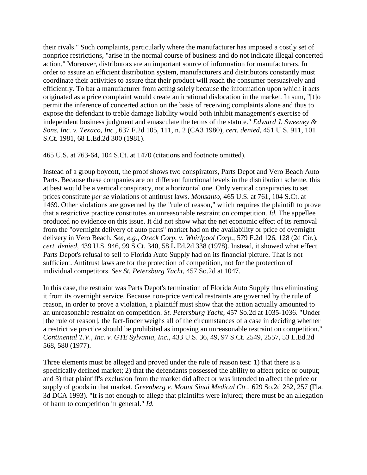their rivals." Such complaints, particularly where the manufacturer has imposed a costly set of nonprice restrictions, "arise in the normal course of business and do not indicate illegal concerted action." Moreover, distributors are an important source of information for manufacturers. In order to assure an efficient distribution system, manufacturers and distributors constantly must coordinate their activities to assure that their product will reach the consumer persuasively and efficiently. To bar a manufacturer from acting solely because the information upon which it acts originated as a price complaint would create an irrational dislocation in the market. In sum, "[t]o permit the inference of concerted action on the basis of receiving complaints alone and thus to expose the defendant to treble damage liability would both inhibit management's exercise of independent business judgment and emasculate the terms of the statute." *Edward J. Sweeney & Sons, Inc. v. Texaco, Inc.,* 637 F.2d 105, 111, n. 2 (CA3 1980), *cert. denied,* 451 U.S. 911, 101 S.Ct. 1981, 68 L.Ed.2d 300 (1981).

465 U.S. at 763-64, 104 S.Ct. at 1470 (citations and footnote omitted).

Instead of a group boycott, the proof shows two conspirators, Parts Depot and Vero Beach Auto Parts. Because these companies are on different functional levels in the distribution scheme, this at best would be a vertical conspiracy, not a horizontal one. Only vertical conspiracies to set prices constitute *per se* violations of antitrust laws. *Monsanto,* 465 U.S. at 761, 104 S.Ct. at 1469. Other violations are governed by the "rule of reason," which requires the plaintiff to prove that a restrictive practice constitutes an unreasonable restraint on competition. *Id.* The appellee produced no evidence on this issue. It did not show what the net economic effect of its removal from the "overnight delivery of auto parts" market had on the availability or price of overnight delivery in Vero Beach. *See, e.g., Oreck Corp. v. Whirlpool Corp.,* 579 F.2d 126, 128 (2d Cir.), *cert. denied,* 439 U.S. 946, 99 S.Ct. 340, 58 L.Ed.2d 338 (1978). Instead, it showed what effect Parts Depot's refusal to sell to Florida Auto Supply had on its financial picture. That is not sufficient. Antitrust laws are for the protection of competition, not for the protection of individual competitors. *See St. Petersburg Yacht,* 457 So.2d at 1047.

In this case, the restraint was Parts Depot's termination of Florida Auto Supply thus eliminating it from its overnight service. Because non-price vertical restraints are governed by the rule of reason, in order to prove a violation, a plaintiff must show that the action actually amounted to an unreasonable restraint on competition. *St. Petersburg Yacht,* 457 So.2d at 1035-1036. "Under [the rule of reason], the fact-finder weighs all of the circumstances of a case in deciding whether a restrictive practice should be prohibited as imposing an unreasonable restraint on competition." *Continental T.V., Inc. v. GTE Sylvania, Inc.,* 433 [U.S.](https://www.courtlistener.com/scotus/yBE/continental-tv-inc-v-gte-sylvania-inc/) 36, 49, 97 S.Ct. 2549, 2557, 53 L.Ed.2d 568, 580 (1977).

Three elements must be alleged and proved under the rule of reason test: 1) that there is a specifically defined market; 2) that the defendants possessed the ability to affect price or output; and 3) that plaintiff's exclusion from the market did affect or was intended to affect the price or supply of goods in that market. *Greenberg v. Mount Sinai Medical Ctr.,* 629 So.2d 252, 257 (Fla. 3d DCA 1993). "It is not enough to allege that plaintiffs were injured; there must be an allegation of harm to competition in general." *Id.*